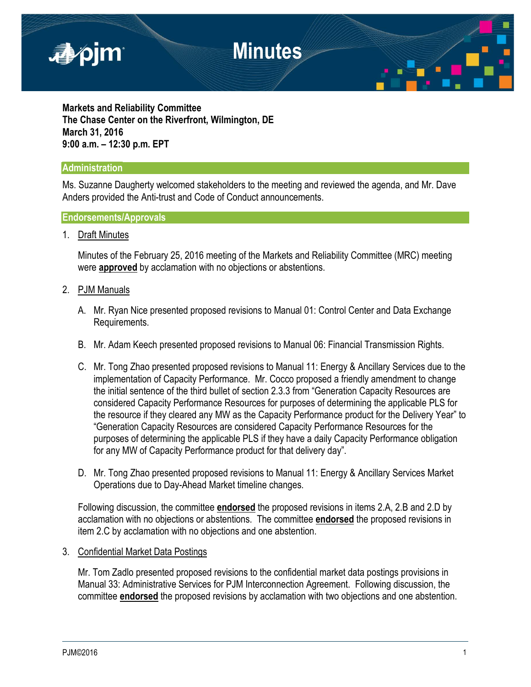

**Markets and Reliability Committee The Chase Center on the Riverfront, Wilmington, DE March 31, 2016 9:00 a.m. – 12:30 p.m. EPT**

#### **Administration**

Ms. Suzanne Daugherty welcomed stakeholders to the meeting and reviewed the agenda, and Mr. Dave Anders provided the Anti-trust and Code of Conduct announcements.

#### **Endorsements/Approvals**

1. Draft Minutes

Minutes of the February 25, 2016 meeting of the Markets and Reliability Committee (MRC) meeting were **approved** by acclamation with no objections or abstentions.

- 2. PJM Manuals
	- A. Mr. Ryan Nice presented proposed revisions to Manual 01: Control Center and Data Exchange Requirements.
	- B. Mr. Adam Keech presented proposed revisions to Manual 06: Financial Transmission Rights.
	- C. Mr. Tong Zhao presented proposed revisions to Manual 11: Energy & Ancillary Services due to the implementation of Capacity Performance. Mr. Cocco proposed a friendly amendment to change the initial sentence of the third bullet of section 2.3.3 from "Generation Capacity Resources are considered Capacity Performance Resources for purposes of determining the applicable PLS for the resource if they cleared any MW as the Capacity Performance product for the Delivery Year" to "Generation Capacity Resources are considered Capacity Performance Resources for the purposes of determining the applicable PLS if they have a daily Capacity Performance obligation for any MW of Capacity Performance product for that delivery day".
	- D. Mr. Tong Zhao presented proposed revisions to Manual 11: Energy & Ancillary Services Market Operations due to Day-Ahead Market timeline changes.

Following discussion, the committee **endorsed** the proposed revisions in items 2.A, 2.B and 2.D by acclamation with no objections or abstentions. The committee **endorsed** the proposed revisions in item 2.C by acclamation with no objections and one abstention.

3. Confidential Market Data Postings

Mr. Tom Zadlo presented proposed revisions to the confidential market data postings provisions in Manual 33: Administrative Services for PJM Interconnection Agreement. Following discussion, the committee **endorsed** the proposed revisions by acclamation with two objections and one abstention.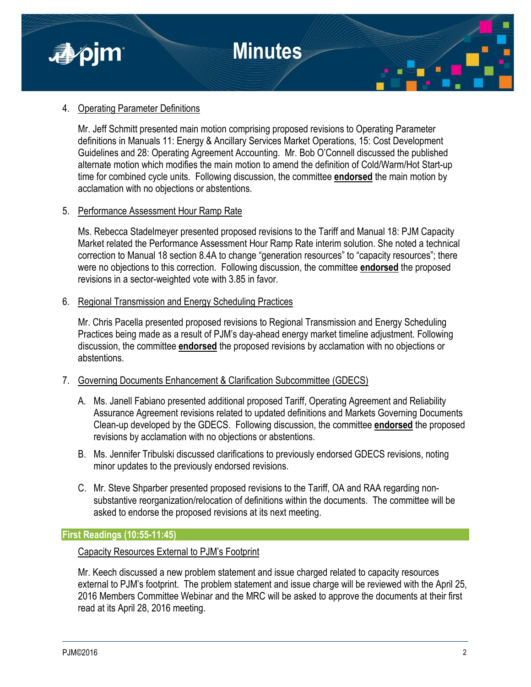

#### 4. Operating Parameter Definitions

Mr. Jeff Schmitt presented main motion comprising proposed revisions to Operating Parameter definitions in Manuals 11: Energy & Ancillary Services Market Operations, 15: Cost Development Guidelines and 28: Operating Agreement Accounting. Mr. Bob O'Connell discussed the published alternate motion which modifies the main motion to amend the definition of Cold/Warm/Hot Start-up time for combined cycle units. Following discussion, the committee **endorsed** the main motion by acclamation with no objections or abstentions.

#### 5. Performance Assessment Hour Ramp Rate

Ms. Rebecca Stadelmeyer presented proposed revisions to the Tariff and Manual 18: PJM Capacity Market related the Performance Assessment Hour Ramp Rate interim solution. She noted a technical correction to Manual 18 section 8.4A to change "generation resources" to "capacity resources"; there were no objections to this correction. Following discussion, the committee **endorsed** the proposed revisions in a sector-weighted vote with 3.85 in favor.

#### 6. Regional Transmission and Energy Scheduling Practices

Mr. Chris Pacella presented proposed revisions to Regional Transmission and Energy Scheduling Practices being made as a result of PJM's day-ahead energy market timeline adjustment. Following discussion, the committee **endorsed** the proposed revisions by acclamation with no objections or abstentions.

#### 7. Governing Documents Enhancement & Clarification Subcommittee (GDECS)

- A. Ms. Janell Fabiano presented additional proposed Tariff, Operating Agreement and Reliability Assurance Agreement revisions related to updated definitions and Markets Governing Documents Clean-up developed by the GDECS. Following discussion, the committee **endorsed** the proposed revisions by acclamation with no objections or abstentions.
- B. Ms. Jennifer Tribulski discussed clarifications to previously endorsed GDECS revisions, noting minor updates to the previously endorsed revisions.
- C. Mr. Steve Shparber presented proposed revisions to the Tariff, OA and RAA regarding nonsubstantive reorganization/relocation of definitions within the documents. The committee will be asked to endorse the proposed revisions at its next meeting.

**First Readings (10:55-11:45)**

#### Capacity Resources External to PJM's Footprint

Mr. Keech discussed a new problem statement and issue charged related to capacity resources external to PJM's footprint. The problem statement and issue charge will be reviewed with the April 25, 2016 Members Committee Webinar and the MRC will be asked to approve the documents at their first read at its April 28, 2016 meeting.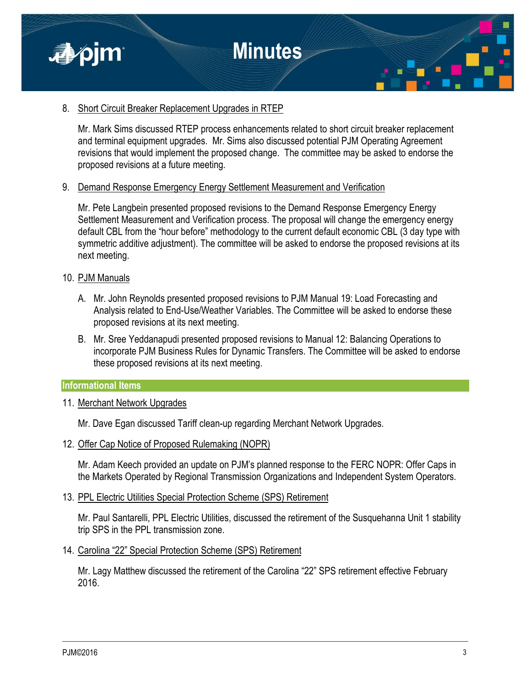

#### 8. Short Circuit Breaker Replacement Upgrades in RTEP

Mr. Mark Sims discussed RTEP process enhancements related to short circuit breaker replacement and terminal equipment upgrades. Mr. Sims also discussed potential PJM Operating Agreement revisions that would implement the proposed change. The committee may be asked to endorse the proposed revisions at a future meeting.

#### 9. Demand Response Emergency Energy Settlement Measurement and Verification

Mr. Pete Langbein presented proposed revisions to the Demand Response Emergency Energy Settlement Measurement and Verification process. The proposal will change the emergency energy default CBL from the "hour before" methodology to the current default economic CBL (3 day type with symmetric additive adjustment). The committee will be asked to endorse the proposed revisions at its next meeting.

#### 10. PJM Manuals

- A. Mr. John Reynolds presented proposed revisions to PJM Manual 19: Load Forecasting and Analysis related to End-Use/Weather Variables. The Committee will be asked to endorse these proposed revisions at its next meeting.
- B. Mr. Sree Yeddanapudi presented proposed revisions to Manual 12: Balancing Operations to incorporate PJM Business Rules for Dynamic Transfers. The Committee will be asked to endorse these proposed revisions at its next meeting.

#### **Informational Items**

#### 11. Merchant Network Upgrades

Mr. Dave Egan discussed Tariff clean-up regarding Merchant Network Upgrades.

#### 12. Offer Cap Notice of Proposed Rulemaking (NOPR)

Mr. Adam Keech provided an update on PJM's planned response to the FERC NOPR: Offer Caps in the Markets Operated by Regional Transmission Organizations and Independent System Operators.

#### 13. PPL Electric Utilities Special Protection Scheme (SPS) Retirement

Mr. Paul Santarelli, PPL Electric Utilities, discussed the retirement of the Susquehanna Unit 1 stability trip SPS in the PPL transmission zone.

14. Carolina "22" Special Protection Scheme (SPS) Retirement

Mr. Lagy Matthew discussed the retirement of the Carolina "22" SPS retirement effective February 2016.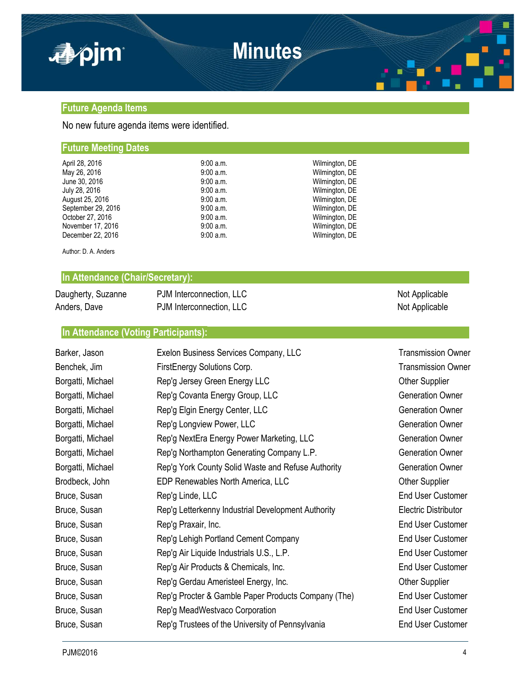

#### **Future Agenda Items**

No new future agenda items were identified.

#### **Future Meeting Dates**

| April 28, 2016     | 9:00 a.m.   | Wilmington, DE |
|--------------------|-------------|----------------|
| May 26, 2016       | 9:00 a.m.   | Wilmington, DE |
| June 30, 2016      | 9:00 a.m.   | Wilmington, DE |
| July 28, 2016      | 9:00 a.m.   | Wilmington, DE |
| August 25, 2016    | $9:00$ a.m. | Wilmington, DE |
| September 29, 2016 | 9:00a.m.    | Wilmington, DE |
| October 27, 2016   | 9:00 a.m.   | Wilmington, DE |
| November 17, 2016  | 9:00 a.m.   | Wilmington, DE |
| December 22, 2016  | 9:00 a.m.   | Wilmington, DE |
|                    |             |                |

Author: D. A. Anders

#### **In Attendance (Chair/Secretary):**

| Daugherty, Suzanne | PJM Interconnection, LLC | Not Applicable |
|--------------------|--------------------------|----------------|
| Anders, Dave       | PJM Interconnection, LLC | Not Applicable |

**In Attendance (Voting Participants):**

| Barker, Jason     | Exelon Business Services Company, LLC               | <b>Transmission Owner</b>   |
|-------------------|-----------------------------------------------------|-----------------------------|
| Benchek, Jim      | FirstEnergy Solutions Corp.                         | <b>Transmission Owner</b>   |
| Borgatti, Michael | Rep'g Jersey Green Energy LLC                       | <b>Other Supplier</b>       |
| Borgatti, Michael | Rep'g Covanta Energy Group, LLC                     | <b>Generation Owner</b>     |
| Borgatti, Michael | Rep'g Elgin Energy Center, LLC                      | <b>Generation Owner</b>     |
| Borgatti, Michael | Rep'g Longview Power, LLC                           | <b>Generation Owner</b>     |
| Borgatti, Michael | Rep'g NextEra Energy Power Marketing, LLC           | <b>Generation Owner</b>     |
| Borgatti, Michael | Rep'g Northampton Generating Company L.P.           | <b>Generation Owner</b>     |
| Borgatti, Michael | Rep'g York County Solid Waste and Refuse Authority  | <b>Generation Owner</b>     |
| Brodbeck, John    | EDP Renewables North America, LLC                   | <b>Other Supplier</b>       |
| Bruce, Susan      | Rep'g Linde, LLC                                    | <b>End User Customer</b>    |
| Bruce, Susan      | Rep'g Letterkenny Industrial Development Authority  | <b>Electric Distributor</b> |
| Bruce, Susan      | Rep'g Praxair, Inc.                                 | <b>End User Customer</b>    |
| Bruce, Susan      | Rep'g Lehigh Portland Cement Company                | <b>End User Customer</b>    |
| Bruce, Susan      | Rep'g Air Liquide Industrials U.S., L.P.            | <b>End User Customer</b>    |
| Bruce, Susan      | Rep'g Air Products & Chemicals, Inc.                | <b>End User Customer</b>    |
| Bruce, Susan      | Rep'g Gerdau Ameristeel Energy, Inc.                | <b>Other Supplier</b>       |
| Bruce, Susan      | Rep'g Procter & Gamble Paper Products Company (The) | <b>End User Customer</b>    |
| Bruce, Susan      | Rep'g MeadWestvaco Corporation                      | <b>End User Customer</b>    |
| Bruce, Susan      | Rep'g Trustees of the University of Pennsylvania    | <b>End User Customer</b>    |
|                   |                                                     |                             |

PJM©2016 4 and the control of the control of the control of the control of the control of the control of the control of the control of the control of the control of the control of the control of the control of the control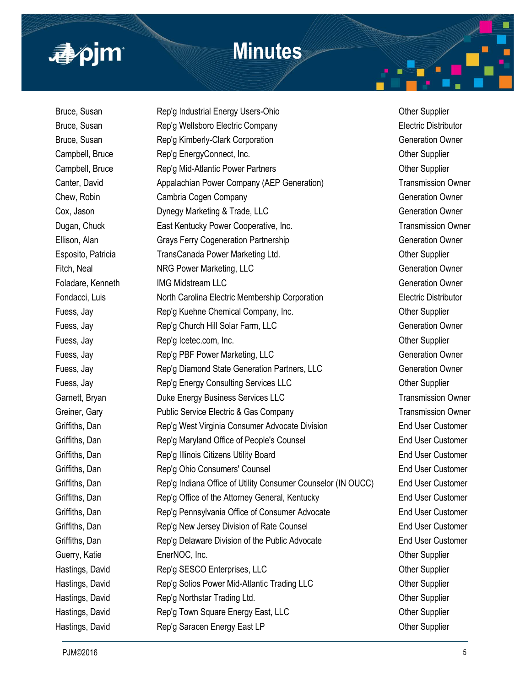

Bruce, Susan **Rep'g Industrial Energy Users-Ohio Channel Contract Contract Property** Current Cupplier Bruce, Susan Rep'g Wellsboro Electric Company Electric Distributor Bruce, Susan **Rep'g Kimberly-Clark Corporation** Generation Generation Owner Campbell, Bruce **Rep'g EnergyConnect, Inc.** Campbell, Bruce **Champbell**, Bruce **Rep's** EnergyConnect, Inc. Campbell, Bruce **Rep'g Mid-Atlantic Power Partners Campbell, Bruce** Other Supplier Canter, David **Appalachian Power Company (AEP Generation)** Transmission Owner Chew, Robin Cambria Cogen Company Company Chew, Robin Generation Owner Cox, Jason **Dynegy Marketing & Trade, LLC** Generation Owner Dugan, Chuck **East Kentucky Power Cooperative, Inc.** Transmission Owner Ellison, Alan Grays Ferry Cogeneration Partnership Generation Generation Owner Esposito, Patricia TransCanada Power Marketing Ltd. Channel Cher Supplier Fitch, Neal **NRG Power Marketing, LLC Community** Contract and Generation Owner Foladare, Kenneth **IMG Midstream LLC** Generation Owner Fondacci, Luis North Carolina Electric Membership Corporation Electric Distributor Fuess, Jay **Rep'g Kuehne Chemical Company, Inc.** Champson Cher Supplier Fuess, Jay **Rep'g Church Hill Solar Farm, LLC** Generation Owner Fuess, Jay **Rep'g Icetec.com, Inc.** Channels Computer Supplier Fuess, Jay **Rep'g PBF Power Marketing, LLC** Generation Owner Fuess, Jay **Rep'g Diamond State Generation Partners**, LLC Generation Owner Fuess, Jay **Rep'g Energy Consulting Services LLC** Cher Supplier Garnett, Bryan **Duke Energy Business Services LLC** Transmission Owner Greiner, Gary **Public Service Electric & Gas Company Transmission Owner** Griffiths, Dan **Rep'g West Virginia Consumer Advocate Division** End User Customer Griffiths, Dan **Rep'g Maryland Office of People's Counsel** End User Customer Griffiths, Dan **Rep'g Illinois Citizens Utility Board** End User Customer Griffiths, Dan **Rep'g Ohio Consumers' Counsel** Counsel End User Customer Griffiths, Dan Rep'g Indiana Office of Utility Consumer Counselor (IN OUCC) End User Customer Griffiths, Dan Rep'g Office of the Attorney General, Kentucky End User Customer Griffiths, Dan **Rep'g Pennsylvania Office of Consumer Advocate** End User Customer Griffiths, Dan **Rep'g New Jersey Division of Rate Counsel** End User Customer Griffiths, Dan **Rep'g Delaware Division of the Public Advocate** End User Customer Guerry, Katie **EnerNOC, Inc.** EnerGOC, Inc. **Example 20** EnerGOC, Inc. Hastings, David **Rep'g SESCO Enterprises, LLC Contempt Contemption** Other Supplier Hastings, David **Rep's Solios Power Mid-Atlantic Trading LLC Changes** Other Supplier Hastings, David **Rep'g Northstar Trading Ltd.** Character Communist Character Communist Character Communist Character Hastings, David **Rep'g Town Square Energy East, LLC Constant Constant Constant Constant Constant Constant Constant Constant Constant Constant Constant Constant Constant Constant Constant Constant Constant Constant Consta** Hastings, David **Rep's Saracen Energy East LP Chastings**, David Cher Supplier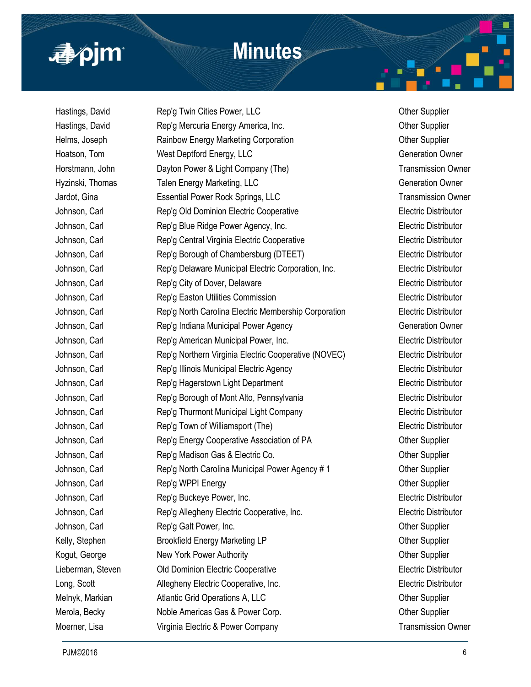

| Rep'g Twin Cities Power, LLC                         |
|------------------------------------------------------|
| Rep'g Mercuria Energy America, Inc.                  |
| Rainbow Energy Marketing Corporation                 |
| West Deptford Energy, LLC                            |
| Dayton Power & Light Company (The)                   |
| Talen Energy Marketing, LLC                          |
| <b>Essential Power Rock Springs, LLC</b>             |
| Rep'g Old Dominion Electric Cooperative              |
| Rep'g Blue Ridge Power Agency, Inc.                  |
| Rep'g Central Virginia Electric Cooperative          |
| Rep'g Borough of Chambersburg (DTEET)                |
| Rep'g Delaware Municipal Electric Corporation, Inc.  |
| Rep'g City of Dover, Delaware                        |
| Rep'g Easton Utilities Commission                    |
| Rep'g North Carolina Electric Membership Corporation |
| Rep'g Indiana Municipal Power Agency                 |
| Rep'g American Municipal Power, Inc.                 |
| Rep'g Northern Virginia Electric Cooperative (NOVEC) |
| Rep'g Illinois Municipal Electric Agency             |
| Rep'g Hagerstown Light Department                    |
| Rep'g Borough of Mont Alto, Pennsylvania             |
| Rep'g Thurmont Municipal Light Company               |
| Rep'g Town of Williamsport (The)                     |
| Rep'g Energy Cooperative Association of PA           |
| Rep'g Madison Gas & Electric Co.                     |
| Rep'g North Carolina Municipal Power Agency # 1      |
| Rep'g WPPI Energy                                    |
| Rep'g Buckeye Power, Inc.                            |
| Rep'g Allegheny Electric Cooperative, Inc.           |
| Rep'g Galt Power, Inc.                               |
| <b>Brookfield Energy Marketing LP</b>                |
| New York Power Authority                             |
| Old Dominion Electric Cooperative                    |
| Allegheny Electric Cooperative, Inc.                 |
| Atlantic Grid Operations A, LLC                      |
| Noble Americas Gas & Power Corp.                     |
| Virginia Electric & Power Company                    |
|                                                      |

Other Supplier Other Supplier Other Supplier Generation Owner **Transmission Owner** Generation Owner **Transmission Owner Electric Distributor** Electric Distributor **Electric Distributor** Electric Distributor Electric Distributor Electric Distributor Electric Distributor Electric Distributor Generation Owner Electric Distributor Electric Distributor Electric Distributor Electric Distributor **Electric Distributor** Electric Distributor Electric Distributor Other Supplier Other Supplier Other Supplier **Other Supplier** Electric Distributor **Electric Distributor** Other Supplier Other Supplier **Other Supplier Electric Distributor** Electric Distributor Other Supplier Other Supplier

**Transmission Owner**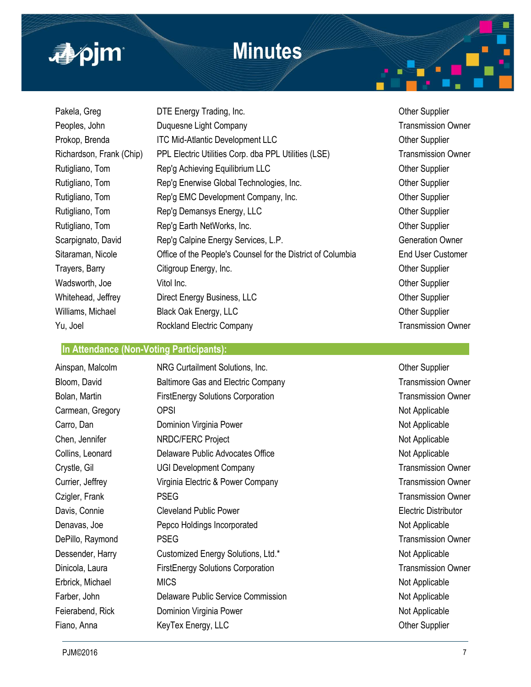

| Pakela, Greg             | DTE Energy Trading, Inc.                                    |
|--------------------------|-------------------------------------------------------------|
| Peoples, John            | Duquesne Light Company                                      |
| Prokop, Brenda           | <b>ITC Mid-Atlantic Development LLC</b>                     |
| Richardson, Frank (Chip) | PPL Electric Utilities Corp. dba PPL Utilities (LSE)        |
| Rutigliano, Tom          | Rep'g Achieving Equilibrium LLC                             |
| Rutigliano, Tom          | Rep'g Enerwise Global Technologies, Inc.                    |
| Rutigliano, Tom          | Rep'g EMC Development Company, Inc.                         |
| Rutigliano, Tom          | Rep'g Demansys Energy, LLC                                  |
| Rutigliano, Tom          | Rep'g Earth NetWorks, Inc.                                  |
| Scarpignato, David       | Rep'g Calpine Energy Services, L.P.                         |
| Sitaraman, Nicole        | Office of the People's Counsel for the District of Columbia |
| Trayers, Barry           | Citigroup Energy, Inc.                                      |
| Wadsworth, Joe           | Vitol Inc.                                                  |
| Whitehead, Jeffrey       | Direct Energy Business, LLC                                 |
| Williams, Michael        | Black Oak Energy, LLC                                       |
| Yu, Joel                 | <b>Rockland Electric Company</b>                            |
|                          |                                                             |

#### **In Attendance (Non-Voting Participants):**

| Ainspan, Malcolm | NRG Curtailment Solutions, Inc.           | <b>Other Supplier</b>     |
|------------------|-------------------------------------------|---------------------------|
| Bloom, David     | <b>Baltimore Gas and Electric Company</b> | <b>Transmission Owner</b> |
| Bolan, Martin    | <b>FirstEnergy Solutions Corporation</b>  | <b>Transmission Owner</b> |
| Carmean, Gregory | <b>OPSI</b>                               | Not Applicable            |
| Carro, Dan       | Dominion Virginia Power                   | Not Applicable            |
| Chen, Jennifer   | NRDC/FERC Project                         | Not Applicable            |
| Collins, Leonard | Delaware Public Advocates Office          | Not Applicable            |
| Crystle, Gil     | <b>UGI Development Company</b>            | <b>Transmission Owner</b> |
| Currier, Jeffrey | Virginia Electric & Power Company         | <b>Transmission Owner</b> |
| Czigler, Frank   | <b>PSEG</b>                               | <b>Transmission Owner</b> |
| Davis, Connie    | <b>Cleveland Public Power</b>             | Electric Distributor      |
| Denavas, Joe     | Pepco Holdings Incorporated               | Not Applicable            |
| DePillo, Raymond | <b>PSEG</b>                               | <b>Transmission Owner</b> |
| Dessender, Harry | Customized Energy Solutions, Ltd.*        | Not Applicable            |
| Dinicola, Laura  | <b>FirstEnergy Solutions Corporation</b>  | <b>Transmission Owner</b> |
| Erbrick, Michael | <b>MICS</b>                               | Not Applicable            |
| Farber, John     | Delaware Public Service Commission        | Not Applicable            |
| Feierabend, Rick | Dominion Virginia Power                   | Not Applicable            |
| Fiano, Anna      | KeyTex Energy, LLC                        | <b>Other Supplier</b>     |
|                  |                                           |                           |

**Other Supplier Transmission Owner Other Supplier Transmission Owner Other Supplier Other Supplier Other Supplier Other Supplier Other Supplier Generation Owner End User Customer Other Supplier Other Supplier** Other Supplier Other Supplier

**Transmission Owner**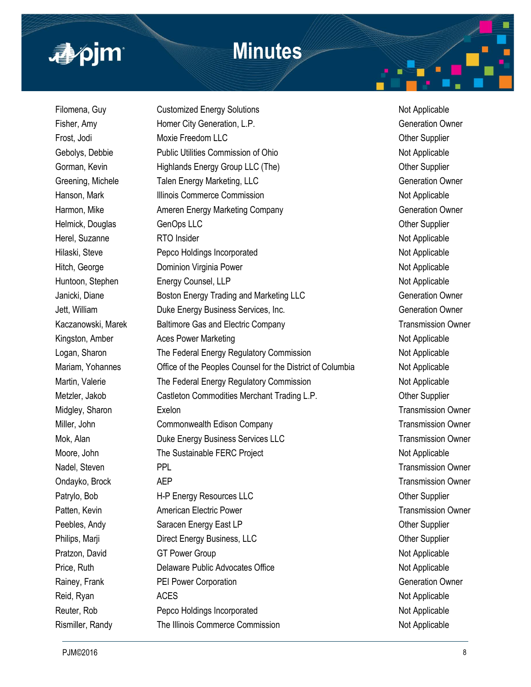# apjm

# **Minutes**

Filomena, Guy Customized Energy Solutions Customized Energy Solutions Not Applicable Fisher, Amy **Homer City Generation, L.P.** Generation Comparent Generation Owner Frost, Jodi **Moxie Freedom LLC Contained Accord Contained Accord Contained Accord Contained Accord Contained Accord Contained Accord Contained Accord Contained Accord Contained Accord Contained Accord Contained Accord Co** Gebolys, Debbie **Public Utilities Commission of Ohio** Not Applicable Not Applicable Gorman, Kevin **Highlands Energy Group LLC (The)** Corman, Kevin Cupplier Greening, Michele Talen Energy Marketing, LLC Greening, Theorem Connection Owner Hanson, Mark **Illinois Commerce Commission** Not Applicable Harmon, Mike **Ameren Energy Marketing Company** Generation Owner Helmick, Douglas GenOps LLC General Contract of Cher Supplier Herel, Suzanne **RTO Insider** RTO Insider Not Applicable Hilaski, Steve **Pepco Holdings Incorporated** Not Applicable Not Applicable Hitch, George **Dominion Virginia Power** Not Applicable Not Applicable Huntoon, Stephen Energy Counsel, LLP Not Applicable Not Applicable Janicki, Diane **Boston Energy Trading and Marketing LLC Generation Owner** Jett, William **Duke Energy Business Services, Inc.** The Contract of Generation Owner Kaczanowski, Marek Baltimore Gas and Electric Company Transmission Owner Kingston, Amber **Aces Power Marketing** Not Applicable Not Applicable Logan, Sharon The Federal Energy Regulatory Commission Not Applicable Mariam, Yohannes Office of the Peoples Counsel for the District of Columbia Not Applicable Martin, Valerie **The Federal Energy Regulatory Commission** Not Applicable Metzler, Jakob Castleton Commodities Merchant Trading L.P. Common Cher Supplier Midgley, Sharon **Exelon** Exelon Transmission Owner Miller, John Commonwealth Edison Company Company Transmission Owner Mok, Alan **Duke Energy Business Services LLC** Transmission Owner Moore, John The Sustainable FERC Project Not Applicable Not Applicable Nadel, Steven **PPL** PPL **Transmission Owner** Ondayko, Brock **AEP** AEP Transmission Owner Patrylo, Bob **H-P Energy Resources LLC Contract Contract Contract Contract Contract Contract Contract Contract Contract Contract Contract Contract Contract Contract Contract Contract Contract Contract Contract Contract C** Patten, Kevin **American Electric Power** Transmission Owner **Transmission Owner** Peebles, Andy Saracen Energy East LP Contract Contract Contract Contract Contract Contract Contract Contract Contract Contract Contract Contract Contract Contract Contract Contract Contract Contract Contract Contract Contr Philips, Marji **Direct Energy Business, LLC Communist Construction Communist Communist Communist Communist Communist Communist Communist Communist Communist Communist Communist Communist Communist Communist Communist Com** Pratzon, David **GT Power Group** GT **Prover Group** CONSERVITY CONSERVITY And Applicable Price, Ruth **Delaware Public Advocates Office** Not Applicable Not Applicable Rainey, Frank **PEI Power Corporation** Contract Construction Contract Ceneration Owner Reid, Ryan ACES ACES Not Applicable Reuter, Rob **Pepco Holdings Incorporated** Not Applicable Not Applicable Rismiller, Randy **The Illinois Commerce Commission** Not Applicable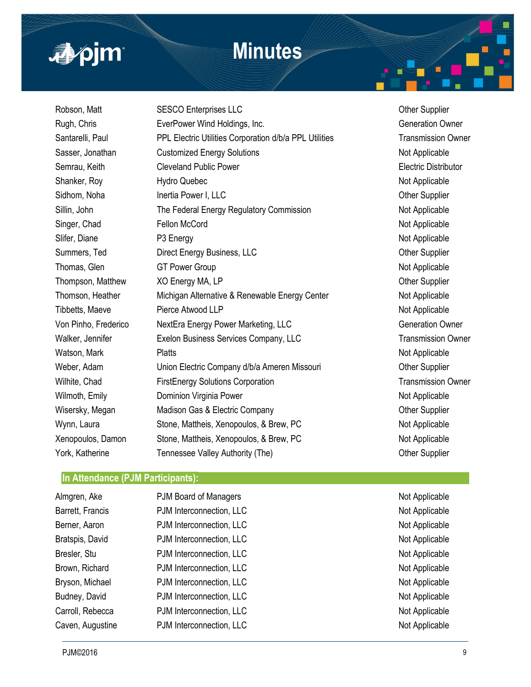

Robson, Matt **SESCO Enterprises LLC CONSERVING SUPPLIER** Other Supplier Rugh, Chris **EverPower Wind Holdings, Inc.** Chris **Confidence** Generation Owner Santarelli, Paul PPL Electric Utilities Corporation d/b/a PPL Utilities Transmission Owner Sasser, Jonathan Customized Energy Solutions Not Applicable Not Applicable Semrau, Keith **Cleveland Public Power Electric Distributor** Electric Distributor Shanker, Roy **Hydro Quebec** Not Applicable Not Applicable Sidhom, Noha **Inertia Power I, LLC Intersection Supplier** Other Supplier Sillin, John The Federal Energy Regulatory Commission Not Applicable Singer, Chad Fellon McCord **Fellon McCord Not Applicable** Not Applicable Slifer, Diane P3 Energy Not Applicable Summers, Ted **Direct Energy Business, LLC Commers, Ted Other Supplier** Thomas, Glen GT Power Group CGT From GT Power Group CGT Applicable Not Applicable Thompson, Matthew  $XO$  Energy MA, LP CHA CONSERVITY COMMENT COMPLEXITY CONSERVATION CONSERVITY Of METALLON CONSERVITY OF SUPPLIER Thomson, Heather Michigan Alternative & Renewable Energy Center Not Applicable Tibbetts, Maeve **Pierce Atwood LLP** Not Applicable Von Pinho, Frederico NextEra Energy Power Marketing, LLC Generation Owner Walker, Jennifer **Exelon Business Services Company, LLC** Transmission Owner Watson, Mark **Platts** Platts **Platts Platts** All **Platts** All **Not Applicable** Not Applicable Weber, Adam **Union Electric Company d/b/a Ameren Missouri** Cher Supplier Wilhite, Chad FirstEnergy Solutions Corporation Transmission Owner Wilmoth, Emily **Example 20 Dominion Virginia Power** Not Applicable Not Applicable Wisersky, Megan Madison Gas & Electric Company Misersky, Megan Other Supplier Wynn, Laura **Stone, Mattheis, Xenopoulos, & Brew, PC** Not Applicable Xenopoulos, Damon Stone, Mattheis, Xenopoulos, & Brew, PC Not Applicable York, Katherine Tennessee Valley Authority (The) Charles The Charles Complier

#### **In Attendance (PJM Participants):**

| Almgren, Ake     | PJM Board of Managers    | Not Applicable |
|------------------|--------------------------|----------------|
| Barrett, Francis | PJM Interconnection, LLC | Not Applicable |
| Berner, Aaron    | PJM Interconnection, LLC | Not Applicable |
| Bratspis, David  | PJM Interconnection, LLC | Not Applicable |
| Bresler, Stu     | PJM Interconnection, LLC | Not Applicable |
| Brown, Richard   | PJM Interconnection, LLC | Not Applicable |
| Bryson, Michael  | PJM Interconnection, LLC | Not Applicable |
| Budney, David    | PJM Interconnection, LLC | Not Applicable |
| Carroll, Rebecca | PJM Interconnection, LLC | Not Applicable |
| Caven, Augustine | PJM Interconnection, LLC | Not Applicable |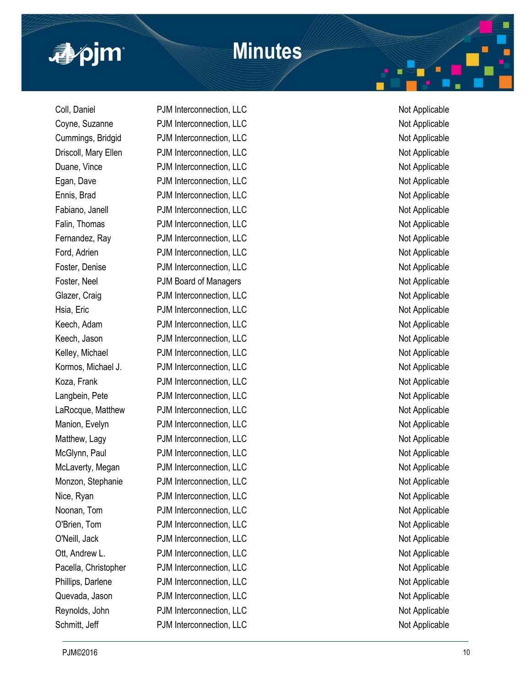

Coll, Daniel **PJM Interconnection, LLC** Not Applicable Coyne, Suzanne PJM Interconnection, LLC Not Applicable Not Applicable Cummings, Bridgid PJM Interconnection, LLC Not Applicable Not Applicable Driscoll, Mary Ellen PJM Interconnection, LLC Not Applicable Not Applicable Duane, Vince **PJM Interconnection, LLC** Not Applicable Egan, Dave **PJM Interconnection, LLC** Not Applicable Not Applicable Ennis, Brad **PJM Interconnection, LLC** Not Applicable Not Applicable Fabiano, Janell **PJM** Interconnection, LLC Not Applicable Falin, Thomas **PJM Interconnection, LLC** Not Applicable Fernandez, Ray **PJM Interconnection, LLC** Not Applicable Ford, Adrien **PJM Interconnection, LLC** Not Applicable Not Applicable Foster, Denise **PJM Interconnection, LLC** Not Applicable Foster, Neel **PJM Board of Managers** Not Applicable Glazer, Craig **PJM Interconnection, LLC** Not Applicable Hsia, Eric **Example 2018** PJM Interconnection, LLC Not Applicable Not Applicable Keech, Adam **PJM Interconnection, LLC** Not Applicable Keech, Jason **PJM Interconnection, LLC** Not Applicable Kelley, Michael **PJM Interconnection, LLC** Not Applicable Kormos, Michael J. PJM Interconnection, LLC Not Applicable Not Applicable Koza, Frank **PJM Interconnection, LLC** Not Applicable Not Applicable Langbein, Pete PJM Interconnection, LLC Not Applicable Not Applicable LaRocque, Matthew PJM Interconnection, LLC Not Applicable Not Applicable Manion, Evelyn **PJM Interconnection, LLC** Not Applicable Matthew, Lagy **PJM Interconnection, LLC** Not Applicable McGlynn, Paul PJM Interconnection, LLC Not Applicable Not Applicable McLaverty, Megan PJM Interconnection, LLC Not Applicable Not Applicable Monzon, Stephanie **Montage PJM Interconnection, LLC** Not Applicable Not Applicable Nice, Ryan **PJM Interconnection, LLC** Not Applicable Noonan, Tom **PJM Interconnection, LLC** Not Applicable Not Applicable O'Brien, Tom **PJM Interconnection, LLC** Not Applicable Not Applicable O'Neill, Jack PJM Interconnection, LLC Not Applicable Ott, Andrew L. **PJM Interconnection, LLC** Not Applicable Pacella, Christopher PJM Interconnection, LLC Not Applicable Not Applicable Phillips, Darlene **PUM Interconnection, LLC** Not Applicable Quevada, Jason **PJM Interconnection, LLC** Not Applicable Not Applicable Reynolds, John **PJM** Interconnection, LLC **Not Applicable** Not Applicable Schmitt, Jeff **PJM** Interconnection, LLC Not Applicable